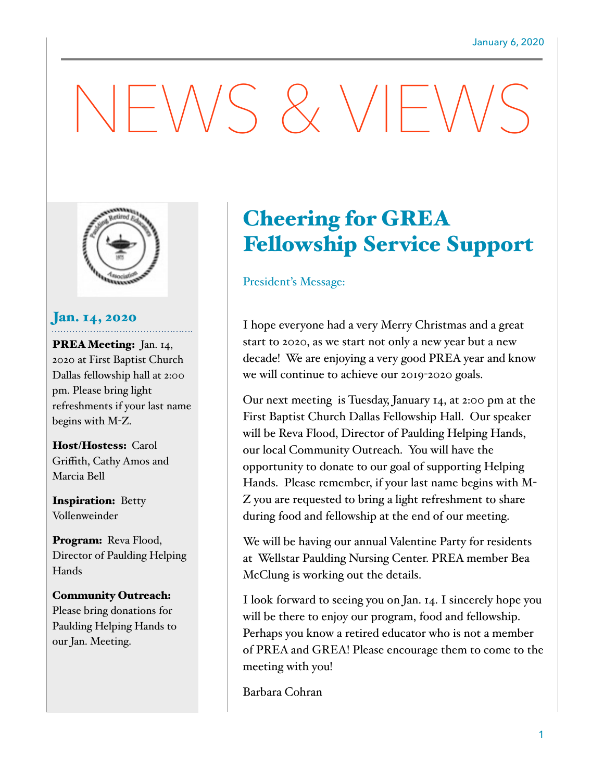# $-\bigvee\bigvee$  and  $\bigvee$   $\bigvee$   $\bigvee$   $\bigvee$



#### Jan. 14, 2020

PREA Meeting: Jan. 14, 2020 at First Baptist Church Dallas fellowship hall at 2:00 pm. Please bring light refreshments if your last name begins with M-Z.

Host/Hostess: Carol Griffith, Cathy Amos and Marcia Bell

Inspiration: Betty Vollenweinder

Program: Reva Flood, Director of Paulding Helping Hands

#### Community Outreach: Please bring donations for

Paulding Helping Hands to our Jan. Meeting.

## Cheering for GREA Fellowship Service Support

#### President's Message:

I hope everyone had a very Merry Christmas and a great start to 2020, as we start not only a new year but a new decade! We are enjoying a very good PREA year and know we will continue to achieve our 2019-2020 goals.

Our next meeting is Tuesday, January 14, at 2:00 pm at the First Baptist Church Dallas Fellowship Hall. Our speaker will be Reva Flood, Director of Paulding Helping Hands, our local Community Outreach. You will have the opportunity to donate to our goal of supporting Helping Hands. Please remember, if your last name begins with M-Z you are requested to bring a light refreshment to share during food and fellowship at the end of our meeting.

We will be having our annual Valentine Party for residents at Wellstar Paulding Nursing Center. PREA member Bea McClung is working out the details.

I look forward to seeing you on Jan. 14. I sincerely hope you will be there to enjoy our program, food and fellowship. Perhaps you know a retired educator who is not a member of PREA and GREA! Please encourage them to come to the meeting with you!

Barbara Cohran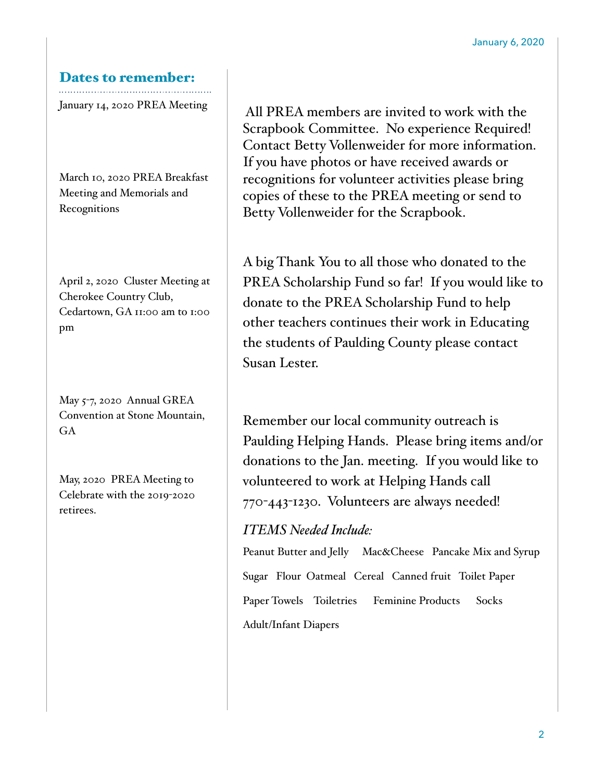#### Dates to remember:

January 14, 2020 PREA Meeting

March 10, 2020 PREA Breakfast Meeting and Memorials and Recognitions

April 2, 2020 Cluster Meeting at Cherokee Country Club, Cedartown, GA 11:00 am to 1:00 pm

May 5-7, 2020 Annual GREA Convention at Stone Mountain, GA

May, 2020 PREA Meeting to Celebrate with the 2019-2020 retirees.

All PREA members are invited to work with the Scrapbook Committee. No experience Required! Contact Betty Vollenweider for more information. If you have photos or have received awards or recognitions for volunteer activities please bring copies of these to the PREA meeting or send to Betty Vollenweider for the Scrapbook.

A big Thank You to all those who donated to the PREA Scholarship Fund so far! If you would like to donate to the PREA Scholarship Fund to help other teachers continues their work in Educating the students of Paulding County please contact Susan Lester.

Remember our local community outreach is Paulding Helping Hands. Please bring items and/or donations to the Jan. meeting. If you would like to volunteered to work at Helping Hands call 770-443-1230. Volunteers are always needed!

#### *ITEMS Needed Include:*

Peanut Butter and Jelly Mac&Cheese Pancake Mix and Syrup Sugar Flour Oatmeal Cereal Canned fruit Toilet Paper Paper Towels Toiletries Feminine Products Socks Adult/Infant Diapers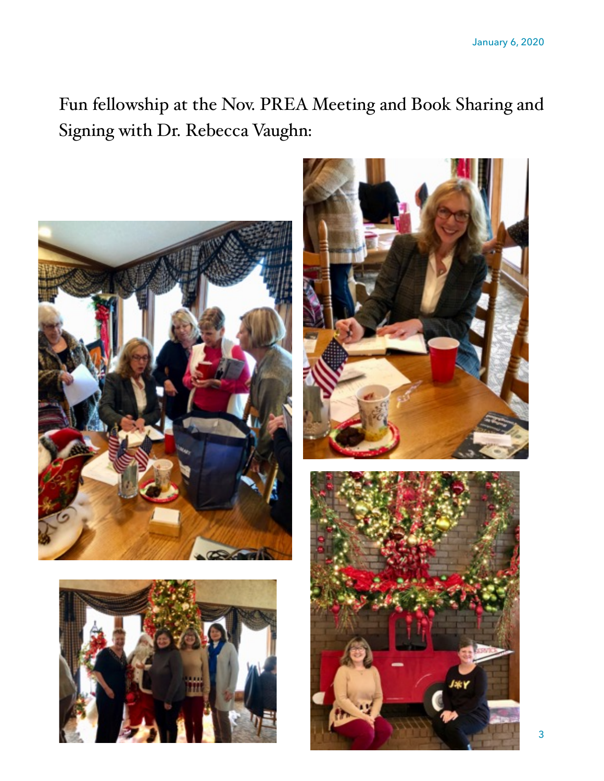Fun fellowship at the Nov. PREA Meeting and Book Sharing and Signing with Dr. Rebecca Vaughn: